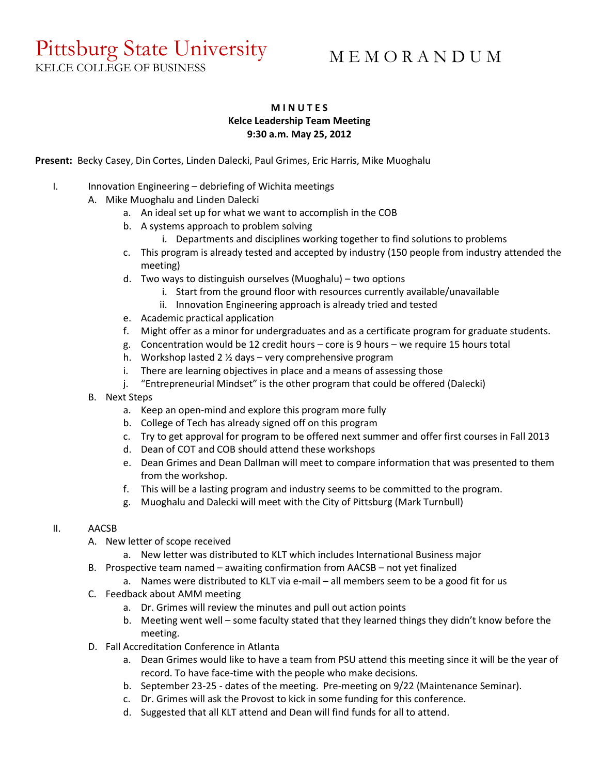# Pittsburg State University

# M E M O R A N D U M

KELCE COLLEGE OF BUSINESS

# **M I N U T E S Kelce Leadership Team Meeting 9:30 a.m. May 25, 2012**

**Present:** Becky Casey, Din Cortes, Linden Dalecki, Paul Grimes, Eric Harris, Mike Muoghalu

- I. Innovation Engineering debriefing of Wichita meetings
	- A. Mike Muoghalu and Linden Dalecki
		- a. An ideal set up for what we want to accomplish in the COB
		- b. A systems approach to problem solving
			- i. Departments and disciplines working together to find solutions to problems
		- c. This program is already tested and accepted by industry (150 people from industry attended the meeting)
		- d. Two ways to distinguish ourselves (Muoghalu) two options
			- i. Start from the ground floor with resources currently available/unavailable
			- ii. Innovation Engineering approach is already tried and tested
		- e. Academic practical application
		- f. Might offer as a minor for undergraduates and as a certificate program for graduate students.
		- g. Concentration would be 12 credit hours core is 9 hours we require 15 hours total
		- h. Workshop lasted 2 ½ days very comprehensive program
		- i. There are learning objectives in place and a means of assessing those
		- j. "Entrepreneurial Mindset" is the other program that could be offered (Dalecki)
	- B. Next Steps
		- a. Keep an open-mind and explore this program more fully
		- b. College of Tech has already signed off on this program
		- c. Try to get approval for program to be offered next summer and offer first courses in Fall 2013
		- d. Dean of COT and COB should attend these workshops
		- e. Dean Grimes and Dean Dallman will meet to compare information that was presented to them from the workshop.
		- f. This will be a lasting program and industry seems to be committed to the program.
		- g. Muoghalu and Dalecki will meet with the City of Pittsburg (Mark Turnbull)

## II. AACSB

- A. New letter of scope received
	- a. New letter was distributed to KLT which includes International Business major
- B. Prospective team named awaiting confirmation from AACSB not yet finalized
	- a. Names were distributed to KLT via e-mail all members seem to be a good fit for us
- C. Feedback about AMM meeting
	- a. Dr. Grimes will review the minutes and pull out action points
	- b. Meeting went well some faculty stated that they learned things they didn't know before the meeting.
- D. Fall Accreditation Conference in Atlanta
	- a. Dean Grimes would like to have a team from PSU attend this meeting since it will be the year of record. To have face-time with the people who make decisions.
	- b. September 23-25 dates of the meeting. Pre-meeting on 9/22 (Maintenance Seminar).
	- c. Dr. Grimes will ask the Provost to kick in some funding for this conference.
	- d. Suggested that all KLT attend and Dean will find funds for all to attend.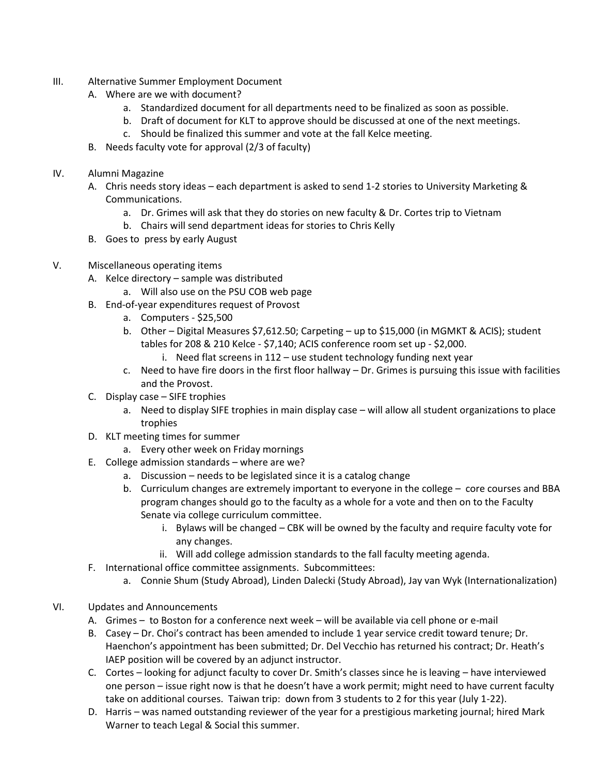- III. Alternative Summer Employment Document
	- A. Where are we with document?
		- a. Standardized document for all departments need to be finalized as soon as possible.
		- b. Draft of document for KLT to approve should be discussed at one of the next meetings.
		- c. Should be finalized this summer and vote at the fall Kelce meeting.
	- B. Needs faculty vote for approval (2/3 of faculty)
- IV. Alumni Magazine
	- A. Chris needs story ideas each department is asked to send 1-2 stories to University Marketing & Communications.
		- a. Dr. Grimes will ask that they do stories on new faculty & Dr. Cortes trip to Vietnam
		- b. Chairs will send department ideas for stories to Chris Kelly
	- B. Goes to press by early August

# V. Miscellaneous operating items

- A. Kelce directory sample was distributed
	- a. Will also use on the PSU COB web page
- B. End-of-year expenditures request of Provost
	- a. Computers \$25,500
	- b. Other Digital Measures \$7,612.50; Carpeting up to \$15,000 (in MGMKT & ACIS); student tables for 208 & 210 Kelce - \$7,140; ACIS conference room set up - \$2,000.
		- i. Need flat screens in 112 use student technology funding next year
	- c. Need to have fire doors in the first floor hallway Dr. Grimes is pursuing this issue with facilities and the Provost.
- C. Display case SIFE trophies
	- a. Need to display SIFE trophies in main display case will allow all student organizations to place trophies
- D. KLT meeting times for summer
	- a. Every other week on Friday mornings
- E. College admission standards where are we?
	- a. Discussion needs to be legislated since it is a catalog change
	- b. Curriculum changes are extremely important to everyone in the college core courses and BBA program changes should go to the faculty as a whole for a vote and then on to the Faculty Senate via college curriculum committee.
		- i. Bylaws will be changed CBK will be owned by the faculty and require faculty vote for any changes.
		- ii. Will add college admission standards to the fall faculty meeting agenda.
- F. International office committee assignments. Subcommittees:
	- a. Connie Shum (Study Abroad), Linden Dalecki (Study Abroad), Jay van Wyk (Internationalization)

## VI. Updates and Announcements

- A. Grimes to Boston for a conference next week will be available via cell phone or e-mail
- B. Casey Dr. Choi's contract has been amended to include 1 year service credit toward tenure; Dr. Haenchon's appointment has been submitted; Dr. Del Vecchio has returned his contract; Dr. Heath's IAEP position will be covered by an adjunct instructor.
- C. Cortes looking for adjunct faculty to cover Dr. Smith's classes since he is leaving have interviewed one person – issue right now is that he doesn't have a work permit; might need to have current faculty take on additional courses. Taiwan trip: down from 3 students to 2 for this year (July 1-22).
- D. Harris was named outstanding reviewer of the year for a prestigious marketing journal; hired Mark Warner to teach Legal & Social this summer.